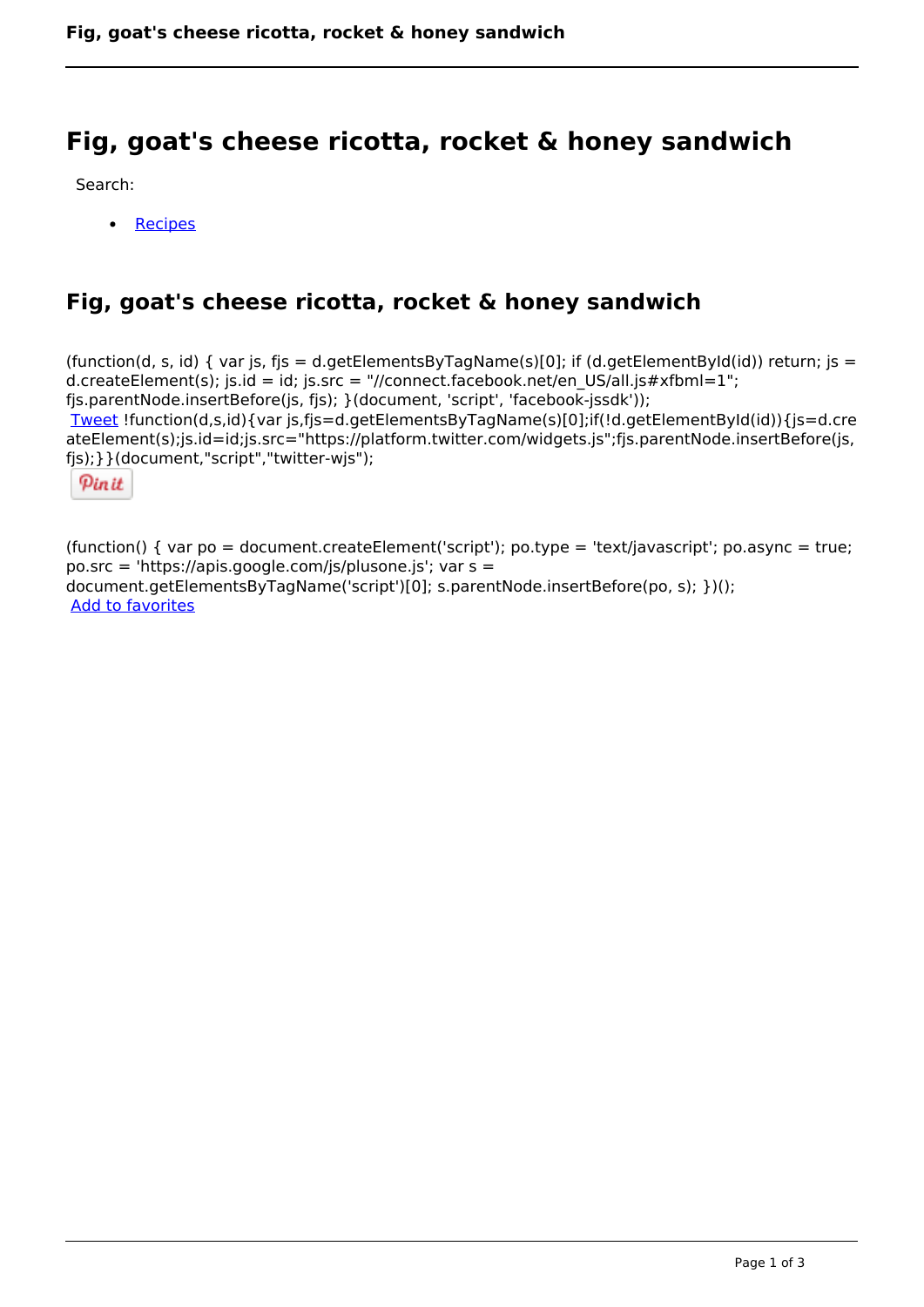# **Fig, goat's cheese ricotta, rocket & honey sandwich**

Search:

• [Recipes](https://www.naturalhealthmag.com.au/nourish/recipes)

# **Fig, goat's cheese ricotta, rocket & honey sandwich**

(function(d, s, id) { var js, fjs = d.getElementsByTagName(s)[0]; if (d.getElementById(id)) return; js = d.createElement(s); js.id = id; js.src = "//connect.facebook.net/en\_US/all.js#xfbml=1"; fjs.parentNode.insertBefore(js, fjs); }(document, 'script', 'facebook-jssdk')); [Tweet](https://twitter.com/share) !function(d,s,id){var js,fjs=d.getElementsByTagName(s)[0];if(!d.getElementById(id)){js=d.cre

ateElement(s);js.id=id;js.src="https://platform.twitter.com/widgets.js";fjs.parentNode.insertBefore(js, fjs);}}(document,"script","twitter-wjs");

Pinit

(function() { var po = document.createElement('script'); po.type = 'text/javascript'; po.async = true; po.src = 'https://apis.google.com/js/plusone.js'; var s = document.getElementsByTagName('script')[0]; s.parentNode.insertBefore(po, s); })(); Add to favorites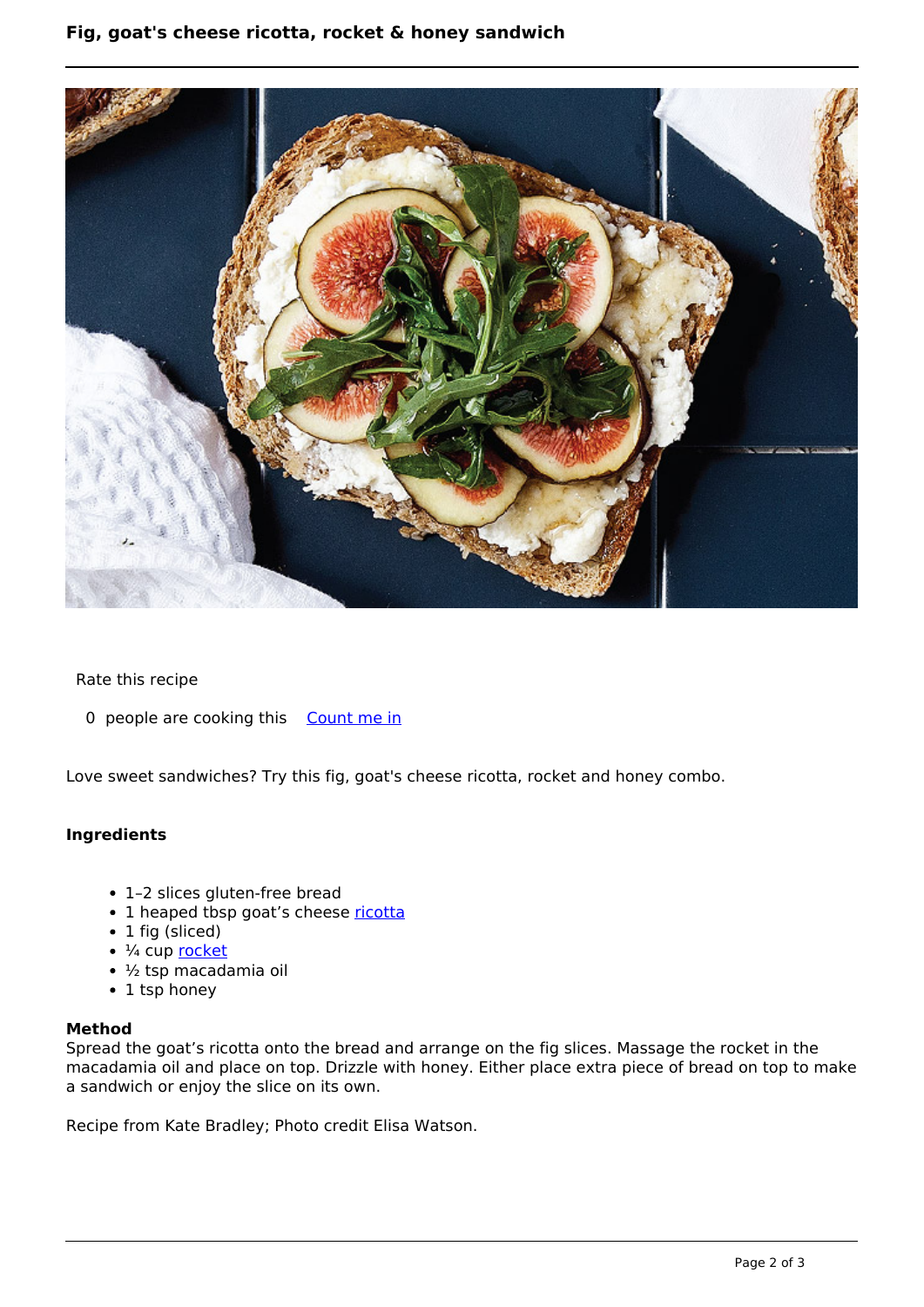# **Fig, goat's cheese ricotta, rocket & honey sandwich**



#### Rate this recipe

0 people are cooking this [Count me in](https://www.naturalhealthmag.com.au/flag/flag/favorites/1290?destination=printpdf%2F1290&token=4b8731ae8245ccfe620b41305bcac69a)

Love sweet sandwiches? Try this fig, goat's cheese ricotta, rocket and honey combo.

## **Ingredients**

- 1–2 slices gluten-free bread
- 1 heaped tbsp goat's cheese [ricotta](http://www.naturalhealthmag.com.au/nourish/raw-veg-spelt-ricotta-salata-bitter-leaf-salad)
- 1 fig (sliced)
- $\cdot$   $\frac{1}{4}$  cup [rocket](http://www.naturalhealthmag.com.au/nourish/antipasto-pizza)
- ½ tsp macadamia oil
- 1 tsp honey

### **Method**

Spread the goat's ricotta onto the bread and arrange on the fig slices. Massage the rocket in the macadamia oil and place on top. Drizzle with honey. Either place extra piece of bread on top to make a sandwich or enjoy the slice on its own.

Recipe from Kate Bradley; Photo credit Elisa Watson.